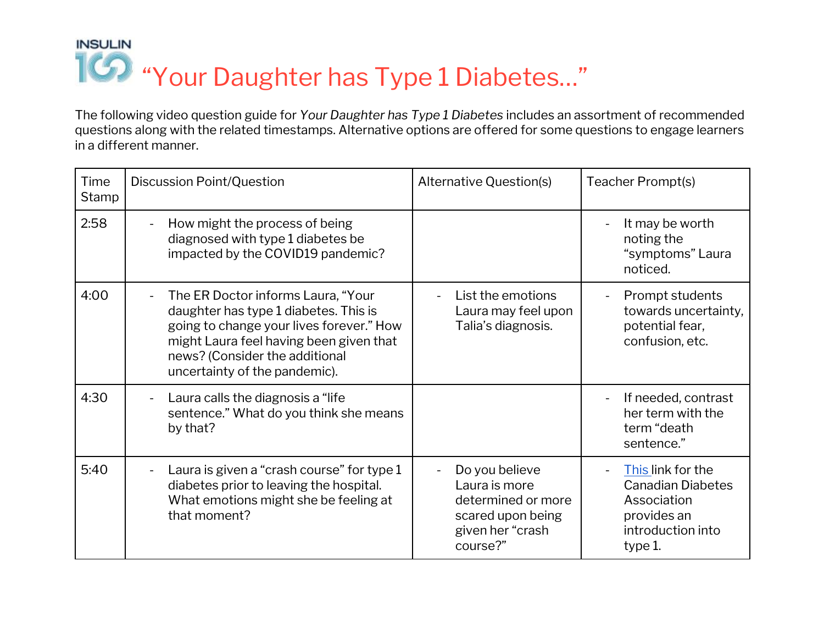## **INSULIN** "Your Daughter has Type 1 Diabetes…"

The following video question guide for *Your Daughter has Type 1 Diabetes* includes an assortment of recommended questions along with the related timestamps. Alternative options are offered for some questions to engage learners in a different manner.

| Time<br>Stamp | Discussion Point/Question                                                                                                                                                                                                                                         | Alternative Question(s)                                                                                    | Teacher Prompt(s)                                                                                           |
|---------------|-------------------------------------------------------------------------------------------------------------------------------------------------------------------------------------------------------------------------------------------------------------------|------------------------------------------------------------------------------------------------------------|-------------------------------------------------------------------------------------------------------------|
| 2:58          | How might the process of being<br>$\overline{\phantom{a}}$<br>diagnosed with type 1 diabetes be<br>impacted by the COVID19 pandemic?                                                                                                                              |                                                                                                            | It may be worth<br>noting the<br>"symptoms" Laura<br>noticed.                                               |
| 4:00          | The ER Doctor informs Laura, "Your<br>$\overline{\phantom{a}}$<br>daughter has type 1 diabetes. This is<br>going to change your lives forever." How<br>might Laura feel having been given that<br>news? (Consider the additional<br>uncertainty of the pandemic). | List the emotions<br>$\blacksquare$<br>Laura may feel upon<br>Talia's diagnosis.                           | Prompt students<br>towards uncertainty,<br>potential fear,<br>confusion, etc.                               |
| 4:30          | Laura calls the diagnosis a "life"<br>sentence." What do you think she means<br>by that?                                                                                                                                                                          |                                                                                                            | If needed, contrast<br>her term with the<br>term "death<br>sentence."                                       |
| 5:40          | Laura is given a "crash course" for type 1<br>diabetes prior to leaving the hospital.<br>What emotions might she be feeling at<br>that moment?                                                                                                                    | Do you believe<br>Laura is more<br>determined or more<br>scared upon being<br>given her "crash<br>course?" | This link for the<br><b>Canadian Diabetes</b><br>Association<br>provides an<br>introduction into<br>type 1. |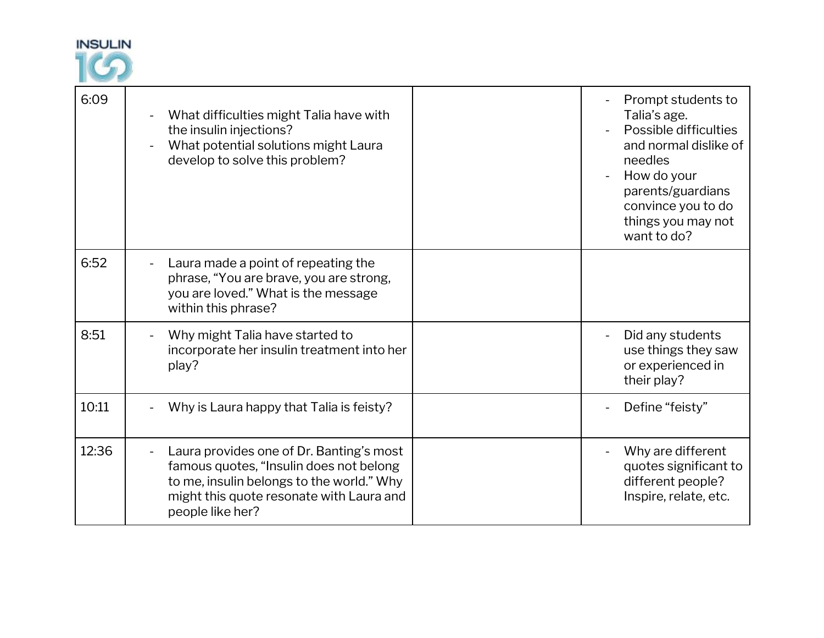

| 6:09  | What difficulties might Talia have with<br>the insulin injections?<br>What potential solutions might Laura<br>develop to solve this problem?                                                     | Prompt students to<br>Talia's age.<br>Possible difficulties<br>and normal dislike of<br>needles<br>How do your<br>parents/guardians<br>convince you to do<br>things you may not<br>want to do? |
|-------|--------------------------------------------------------------------------------------------------------------------------------------------------------------------------------------------------|------------------------------------------------------------------------------------------------------------------------------------------------------------------------------------------------|
| 6:52  | Laura made a point of repeating the<br>phrase, "You are brave, you are strong,<br>you are loved." What is the message<br>within this phrase?                                                     |                                                                                                                                                                                                |
| 8:51  | Why might Talia have started to<br>incorporate her insulin treatment into her<br>play?                                                                                                           | Did any students<br>use things they saw<br>or experienced in<br>their play?                                                                                                                    |
| 10:11 | Why is Laura happy that Talia is feisty?                                                                                                                                                         | Define "feisty"                                                                                                                                                                                |
| 12:36 | Laura provides one of Dr. Banting's most<br>famous quotes, "Insulin does not belong<br>to me, insulin belongs to the world." Why<br>might this quote resonate with Laura and<br>people like her? | Why are different<br>quotes significant to<br>different people?<br>Inspire, relate, etc.                                                                                                       |